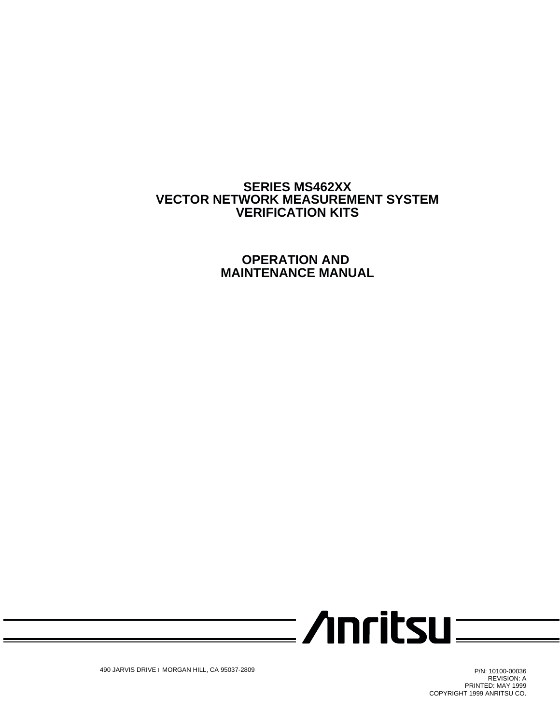# <span id="page-0-0"></span>**SERIES MS462XX VECTOR NETWORK MEASUREMENT SYSTEM VERIFICATION KITS**

**OPERATION AND MAINTENANCE MANUAL**



490 JARVIS DRIVE l MORGAN HILL, CA 95037-2809

P/N: 10100-00036 REVISION: A PRINTED: MAY 1999 COPYRIGHT 1999 ANRITSU CO.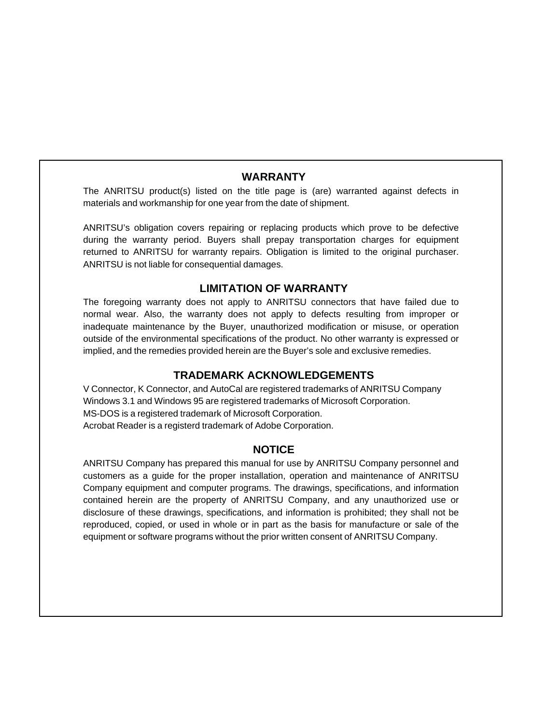# <span id="page-1-0"></span>**WARRANTY**

The ANRITSU product(s) listed on the title page is (are) warranted against defects in materials and workmanship for one year from the date of shipment.

ANRITSU's obligation covers repairing or replacing products which prove to be defective during the warranty period. Buyers shall prepay transportation charges for equipment returned to ANRITSU for warranty repairs. Obligation is limited to the original purchaser. ANRITSU is not liable for consequential damages.

## **LIMITATION OF WARRANTY**

The foregoing warranty does not apply to ANRITSU connectors that have failed due to normal wear. Also, the warranty does not apply to defects resulting from improper or inadequate maintenance by the Buyer, unauthorized modification or misuse, or operation outside of the environmental specifications of the product. No other warranty is expressed or implied, and the remedies provided herein are the Buyer's sole and exclusive remedies.

### **TRADEMARK ACKNOWLEDGEMENTS**

V Connector, K Connector, and AutoCal are registered trademarks of ANRITSU Company Windows 3.1 and Windows 95 are registered trademarks of Microsoft Corporation. MS-DOS is a registered trademark of Microsoft Corporation. Acrobat Reader is a registerd trademark of Adobe Corporation.

## **NOTICE**

ANRITSU Company has prepared this manual for use by ANRITSU Company personnel and customers as a guide for the proper installation, operation and maintenance of ANRITSU Company equipment and computer programs. The drawings, specifications, and information contained herein are the property of ANRITSU Company, and any unauthorized use or disclosure of these drawings, specifications, and information is prohibited; they shall not be reproduced, copied, or used in whole or in part as the basis for manufacture or sale of the equipment or software programs without the prior written consent of ANRITSU Company.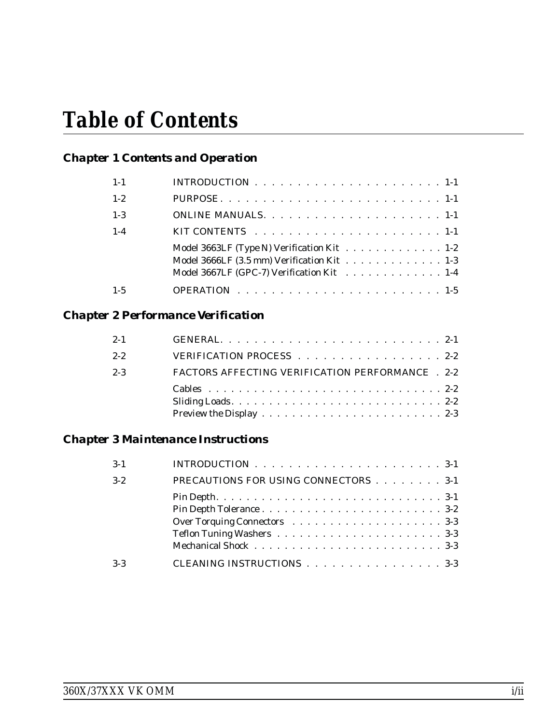# *Table of Contents*

# *[Chapter 1 Contents and Operation](#page-0-0)*

| $1 - 1$ | INTRODUCTION $\ldots \ldots \ldots \ldots \ldots \ldots \ldots \ldots 1-1$                                                            |
|---------|---------------------------------------------------------------------------------------------------------------------------------------|
| $1 - 2$ |                                                                                                                                       |
| $1 - 3$ |                                                                                                                                       |
| $1 - 4$ | KIT CONTENTS $\ldots \ldots \ldots \ldots \ldots \ldots \ldots \ldots \ldots 1-1$                                                     |
|         | Model 3663LF (Type N) Verification Kit 1-2<br>Model 3666LF (3.5 mm) Verification Kit 1-3<br>Model 3667LF (GPC-7) Verification Kit 1-4 |
| $1 - 5$ |                                                                                                                                       |

# *[Chapter 2 Performance Verification](#page-10-0)*

| $2 - 1$ |                                                         |  |
|---------|---------------------------------------------------------|--|
| $2 - 2$ | VERIFICATION PROCESS 2-2                                |  |
| $2 - 3$ | <b>FACTORS AFFECTING VERIFICATION PERFORMANCE . 2-2</b> |  |
|         |                                                         |  |
|         |                                                         |  |
|         |                                                         |  |

# *[Chapter 3 Maintenance Instructions](#page-16-0)*

| $3 - 1$ | INTRODUCTION $\ldots \ldots \ldots \ldots \ldots \ldots \ldots \ldots \ldots 3-1$ |  |
|---------|-----------------------------------------------------------------------------------|--|
| $3 - 2$ | PRECAUTIONS FOR USING CONNECTORS 3-1                                              |  |
|         |                                                                                   |  |
|         |                                                                                   |  |
|         |                                                                                   |  |
|         |                                                                                   |  |
|         |                                                                                   |  |
| $3-3$   | CLEANING INSTRUCTIONS 3-3                                                         |  |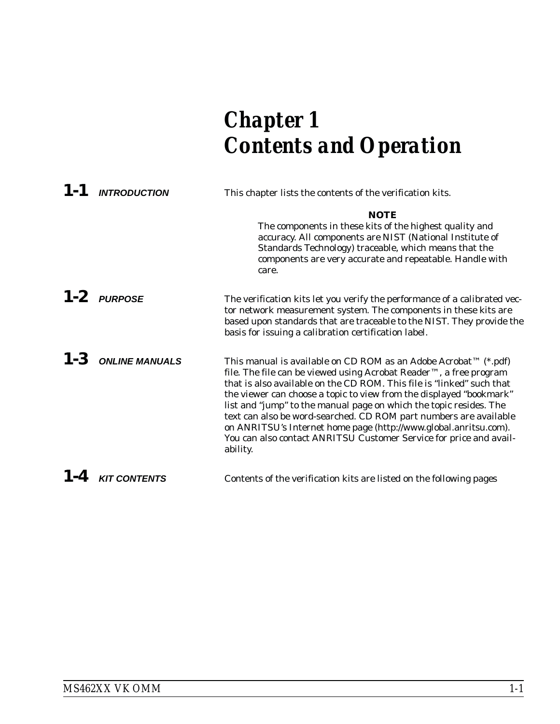# <span id="page-4-0"></span>*Chapter 1 Contents and Operation*

| 1-1 INTRODUCTION       | This chapter lists the contents of the verification kits.                                                                                                                                                                                                                                                                                                                                                                                                                                                                                                                              |  |  |  |
|------------------------|----------------------------------------------------------------------------------------------------------------------------------------------------------------------------------------------------------------------------------------------------------------------------------------------------------------------------------------------------------------------------------------------------------------------------------------------------------------------------------------------------------------------------------------------------------------------------------------|--|--|--|
|                        | <b>NOTE</b><br>The components in these kits of the highest quality and<br>accuracy. All components are NIST (National Institute of<br>Standards Technology) traceable, which means that the<br>components are very accurate and repeatable. Handle with<br>care.                                                                                                                                                                                                                                                                                                                       |  |  |  |
| $1-2$ PURPOSE          | The verification kits let you verify the performance of a calibrated vec-<br>tor network measurement system. The components in these kits are<br>based upon standards that are traceable to the NIST. They provide the<br>basis for issuing a calibration certification label.                                                                                                                                                                                                                                                                                                         |  |  |  |
| $1 - 3$ ONLINE MANUALS | This manual is available on CD ROM as an Adobe Acrobat™ (*.pdf)<br>file. The file can be viewed using Acrobat Reader™, a free program<br>that is also available on the CD ROM. This file is "linked" such that<br>the viewer can choose a topic to view from the displayed "bookmark"<br>list and "jump" to the manual page on which the topic resides. The<br>text can also be word-searched. CD ROM part numbers are available<br>on ANRITSU's Internet home page (http://www.global.anritsu.com).<br>You can also contact ANRITSU Customer Service for price and avail-<br>ability. |  |  |  |
| $1-4$ KIT CONTENTS     | Contents of the verification kits are listed on the following pages                                                                                                                                                                                                                                                                                                                                                                                                                                                                                                                    |  |  |  |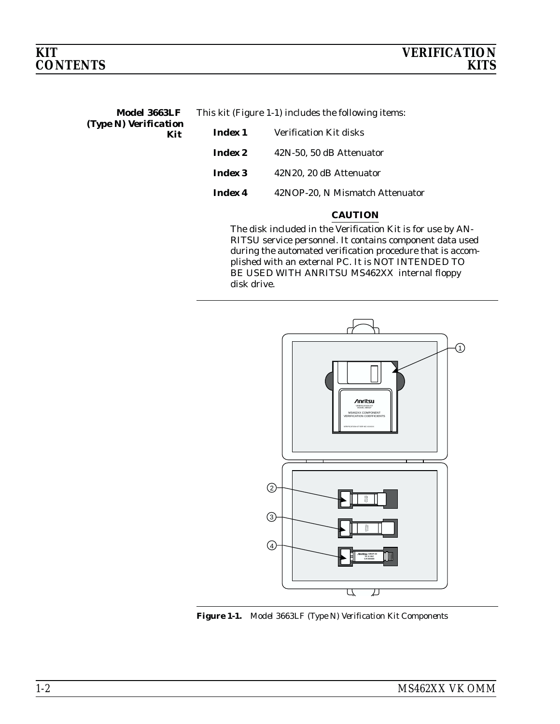<span id="page-5-0"></span>

| Model 3663LF          | This kit (Figure 1-1) includes the following items: |
|-----------------------|-----------------------------------------------------|
| (Type N) Verification |                                                     |

*Kit*

| Index 1        | <b>Verification Kit disks</b>   |
|----------------|---------------------------------|
| <i>Index 2</i> | 42N-50, 50 dB Attenuator        |
| Index 3        | 42N20, 20 dB Attenuator         |
| Index 4        | 42NOP-20. N Mismatch Attenuator |

# *CAUTION*

The disk included in the Verification Kit is for use by AN-RITSU service personnel. It contains component data used during the automated verification procedure that is accomplished with an external PC. It is NOT INTENDED TO BE USED WITH ANRITSU MS462XX internal floppy disk drive.



*Figure 1-1. Model 3663LF (Type N) Verification Kit Components*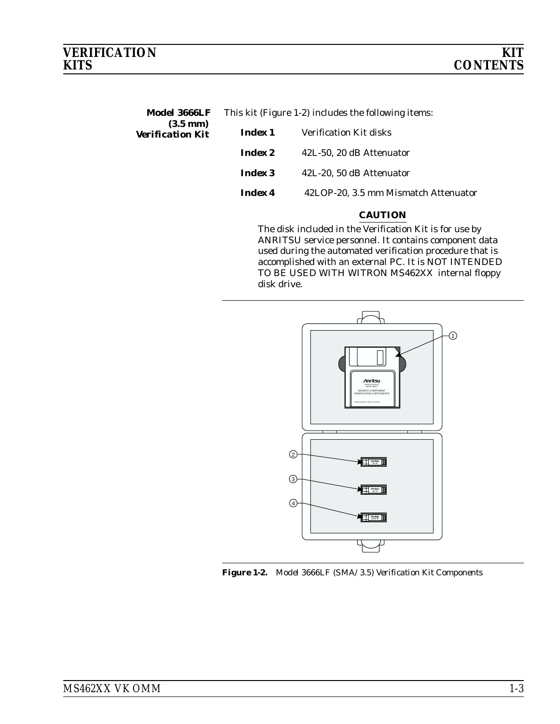<span id="page-6-0"></span>

| Model 3666LF | This kit (Figure 1-2) includes the following items: |  |
|--------------|-----------------------------------------------------|--|
|              |                                                     |  |

| $(3.5 \text{ mm})$<br><b>Verification Kit</b> | Index 1 | <b>Verification Kit disks</b>        |
|-----------------------------------------------|---------|--------------------------------------|
|                                               | Index 2 | 42L-50, 20 dB Attenuator             |
|                                               | Index 3 | 42L-20, 50 dB Attenuator             |
|                                               | Index 4 | 42LOP-20, 3.5 mm Mismatch Attenuator |

## *CAUTION*

The disk included in the Verification Kit is for use by ANRITSU service personnel. It contains component data used during the automated verification procedure that is accomplished with an external PC. It is NOT INTENDED TO BE USED WITH WITRON MS462XX internal floppy disk drive.



*Figure 1-2. Model 3666LF (SMA/3.5) Verification Kit Components*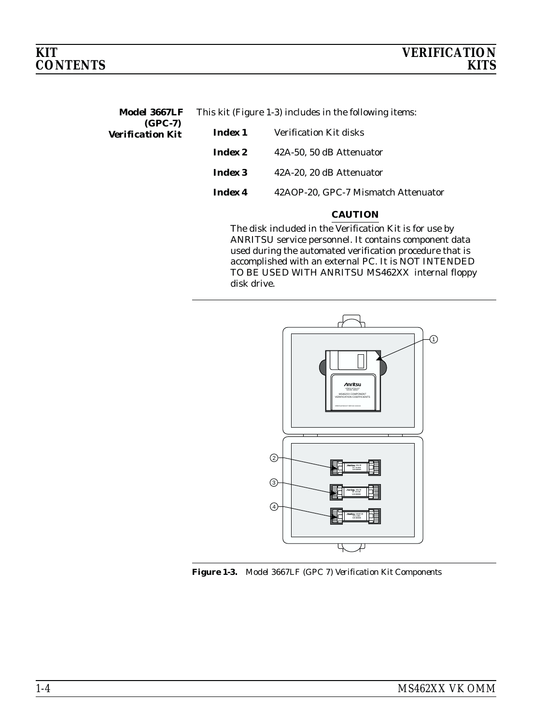<span id="page-7-0"></span>*Model 3667LF* This kit (Figure 1-[3](#page-7-0)) includes in the following items:

| $(GPC-7)$               |                |                                     |
|-------------------------|----------------|-------------------------------------|
| <b>Verification Kit</b> | Index 1        | Verification Kit disks              |
|                         | <i>Index 2</i> | 42A-50, 50 dB Attenuator            |
|                         | Index 3        | 42A-20, 20 dB Attenuator            |
|                         | <b>Index 4</b> | 42AOP-20, GPC-7 Mismatch Attenuator |

## *CAUTION*

The disk included in the Verification Kit is for use by ANRITSU service personnel. It contains component data used during the automated verification procedure that is accomplished with an external PC. It is NOT INTENDED TO BE USED WITH ANRITSU MS462XX internal floppy disk drive.



*Figure 1-3. Model 3667LF (GPC 7) Verification Kit Components*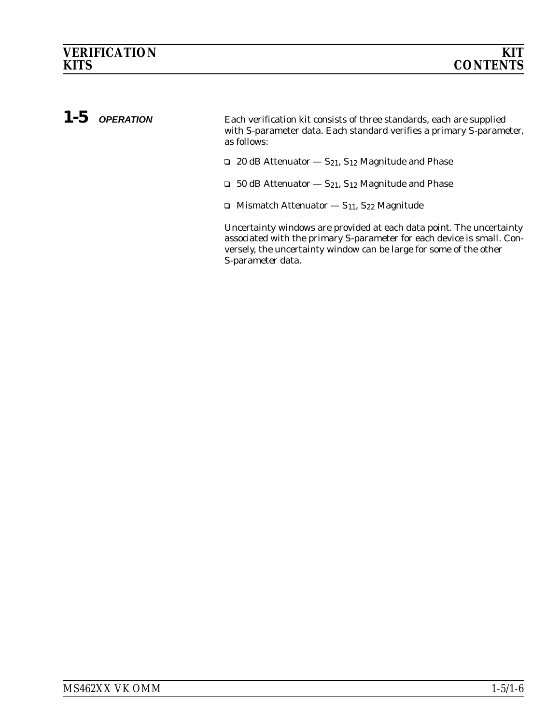# <span id="page-8-0"></span>*1-5 OPERATION* Each verification kit consists of three standards, each are supplied with S-parameter data. Each standard verifies a primary S-parameter, as follows:  $\Box$  20 dB Attenuator  $-S_{21}$ , S<sub>12</sub> Magnitude and Phase  $\Box$  50 dB Attenuator  $-S_{21}$ , S<sub>12</sub> Magnitude and Phase  $\Box$  Mismatch Attenuator  $-S_{11}$ , S<sub>22</sub> Magnitude

Uncertainty windows are provided at each data point. The uncertainty associated with the primary S-parameter for each device is small. Conversely, the uncertainty window can be large for some of the other S-parameter data.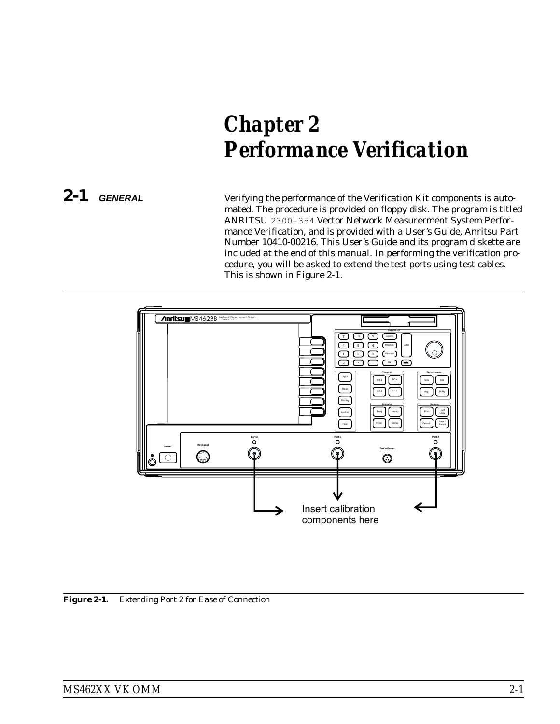# <span id="page-10-0"></span>*Chapter 2 Performance Verification*

*2-1 GENERAL* Verifying the performance of the Verification Kit components is automated. The procedure is provided on floppy disk. The program is titled ANRITSU 2300-354 Vector Network Measurerment System Performance Verification, and is provided with a User's Guide, Anritsu Part Number 10410-00216. This User's Guide and its program diskette are included at the end of this manual. In performing the verification procedure, you will be asked to extend the test ports using test cables. This is shown in Figure 2-1.



*Figure 2-1. Extending Port 2 for Ease of Connection*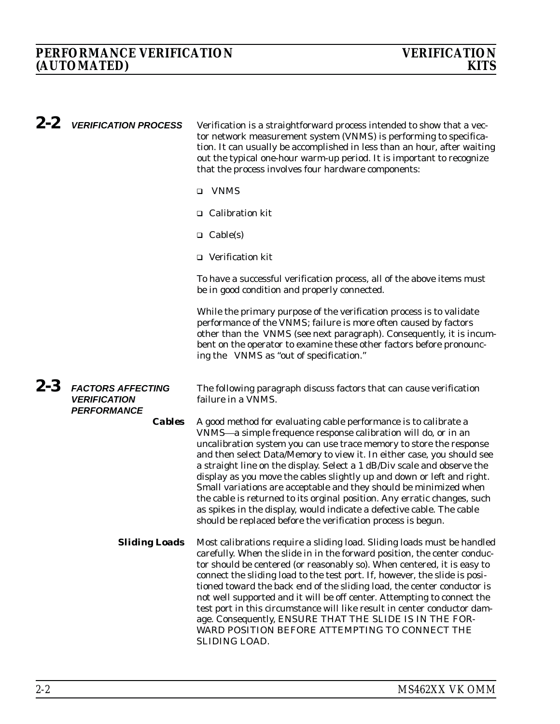<span id="page-11-0"></span>

| $2 - 2$ | <b>VERIFICATION PROCESS</b>                                           | Verification is a straightforward process intended to show that a vec-<br>tor network measurement system (VNMS) is performing to specifica-<br>tion. It can usually be accomplished in less than an hour, after waiting<br>out the typical one-hour warm-up period. It is important to recognize<br>that the process involves four hardware components:                                                                                                                                                                                                                                                                                                                                                                            |
|---------|-----------------------------------------------------------------------|------------------------------------------------------------------------------------------------------------------------------------------------------------------------------------------------------------------------------------------------------------------------------------------------------------------------------------------------------------------------------------------------------------------------------------------------------------------------------------------------------------------------------------------------------------------------------------------------------------------------------------------------------------------------------------------------------------------------------------|
|         |                                                                       | <b>VNMS</b><br>$\Box$                                                                                                                                                                                                                                                                                                                                                                                                                                                                                                                                                                                                                                                                                                              |
|         |                                                                       | $\Box$ Calibration kit                                                                                                                                                                                                                                                                                                                                                                                                                                                                                                                                                                                                                                                                                                             |
|         |                                                                       | $\Box$ Cable(s)                                                                                                                                                                                                                                                                                                                                                                                                                                                                                                                                                                                                                                                                                                                    |
|         |                                                                       | $\Box$ Verification kit                                                                                                                                                                                                                                                                                                                                                                                                                                                                                                                                                                                                                                                                                                            |
|         |                                                                       | To have a successful verification process, all of the above items must<br>be in good condition and properly connected.                                                                                                                                                                                                                                                                                                                                                                                                                                                                                                                                                                                                             |
|         |                                                                       | While the primary purpose of the verification process is to validate<br>performance of the VNMS; failure is more often caused by factors<br>other than the VNMS (see next paragraph). Consequently, it is incum-<br>bent on the operator to examine these other factors before pronounc-<br>ing the VNMS as "out of specification."                                                                                                                                                                                                                                                                                                                                                                                                |
| $2 - 3$ | <b>FACTORS AFFECTING</b><br><b>VERIFICATION</b><br><b>PERFORMANCE</b> | The following paragraph discuss factors that can cause verification<br>failure in a VNMS.                                                                                                                                                                                                                                                                                                                                                                                                                                                                                                                                                                                                                                          |
|         | <b>Cables</b>                                                         | A good method for evaluating cable performance is to calibrate a<br>VNMS-a simple frequence response calibration will do, or in an<br>uncalibration system you can use trace memory to store the response<br>and then select Data/Memory to view it. In either case, you should see<br>a straight line on the display. Select a 1 dB/Div scale and observe the<br>display as you move the cables slightly up and down or left and right.<br>Small variations are acceptable and they should be minimized when<br>the cable is returned to its orginal position. Any erratic changes, such<br>as spikes in the display, would indicate a defective cable. The cable<br>should be replaced before the verification process is begun. |
|         | <b>Sliding Loads</b>                                                  | Most calibrations require a sliding load. Sliding loads must be handled<br>carefully. When the slide in in the forward position, the center conduc-<br>tor should be centered (or reasonably so). When centered, it is easy to<br>connect the sliding load to the test port. If, however, the slide is posi-<br>tioned toward the back end of the sliding load, the center conductor is<br>not well supported and it will be off center. Attempting to connect the<br>test port in this circumstance will like result in center conductor dam-<br>age. Consequently, ENSURE THAT THE SLIDE IS IN THE FOR-<br>WARD POSITION BEFORE ATTEMPTING TO CONNECT THE<br>SLIDING LOAD.                                                       |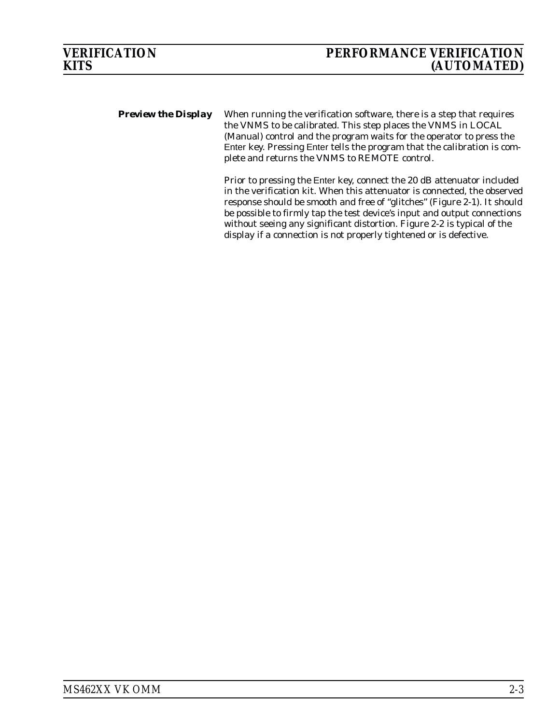<span id="page-12-0"></span>**Preview the Display** When running the verification software, there is a step that requires the VNMS to be calibrated. This step places the VNMS in LOCAL (Manual) control and the program waits for the operator to press the Enter key. Pressing Enter tells the program that the calibration is complete and returns the VNMS to REMOTE control.

> Prior to pressing the Enter key, connect the 20 dB attenuator included in the verification kit. When this attenuator is connected, the observed response should be smooth and free of "glitches" (Figure 2-1). It should be possible to firmly tap the test device's input and output connections without seeing any significant distortion. Figure 2-2 is typical of the display if a connection is not properly tightened or is defective.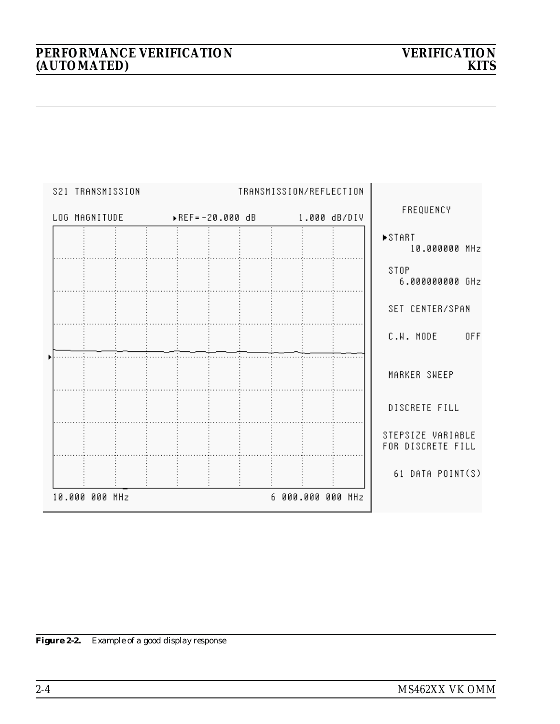|  | S21 TRANSMISSION |  |  |  | TRANSMISSION/REFLECTION                     |                                        |
|--|------------------|--|--|--|---------------------------------------------|----------------------------------------|
|  |                  |  |  |  | LOG MAGNITUDE > REF=-20.000 dB 1.000 dB/DIV | FREQUENCY                              |
|  |                  |  |  |  |                                             | ▶START<br>10.000000 MHz                |
|  |                  |  |  |  |                                             | STOP<br>6.000000000 GHz                |
|  |                  |  |  |  |                                             | SET CENTER/SPAN                        |
|  |                  |  |  |  |                                             | C.W. MODE OFF                          |
|  |                  |  |  |  |                                             | MARKER SWEEP                           |
|  |                  |  |  |  |                                             | DISCRETE FILL                          |
|  |                  |  |  |  |                                             | STEPSIZE VARIABLE<br>FOR DISCRETE FILL |
|  |                  |  |  |  |                                             | 61 DATA POINT(S)                       |
|  | 10.000 000 MHz   |  |  |  | 6 000.000 000 MHz                           |                                        |

*Figure 2-2. Example of a good display response*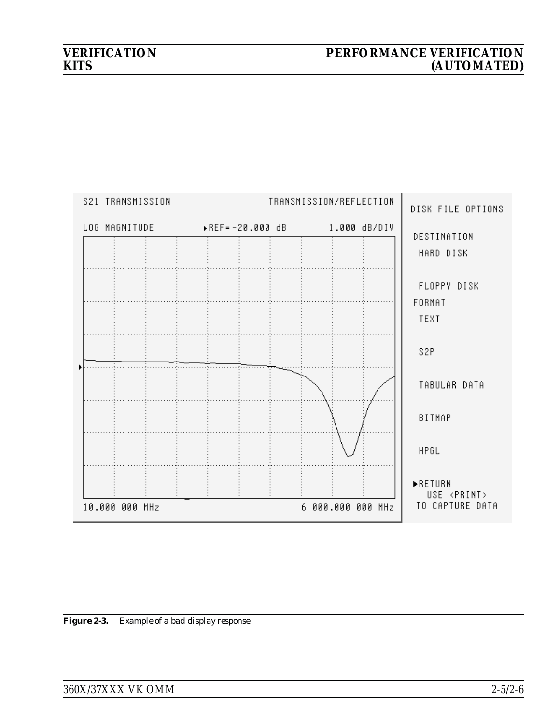| S21 TRANSMISSION           | TRANSMISSION/REFLECTION      | DISK FILE OPTIONS                                         |
|----------------------------|------------------------------|-----------------------------------------------------------|
| LOG MAGNITUDE <b>Andre</b> | ▶REF=-20.000 dB 1.000 dB/DIV | DESTINATION                                               |
|                            |                              | HARD DISK                                                 |
|                            |                              | FLOPPY DISK<br>FORMAT                                     |
|                            |                              | TEXT                                                      |
|                            |                              | S2P                                                       |
|                            |                              | TABULAR DATA                                              |
|                            |                              | BITMAP                                                    |
|                            |                              | <b>HPGL</b>                                               |
| 10.000 000 MHz             | 6 000.000 000 MHz            | <b>ERETURN</b><br>USE <print><br/>TO CAPTURE DATA</print> |

*Figure 2-3. Example of a bad display response*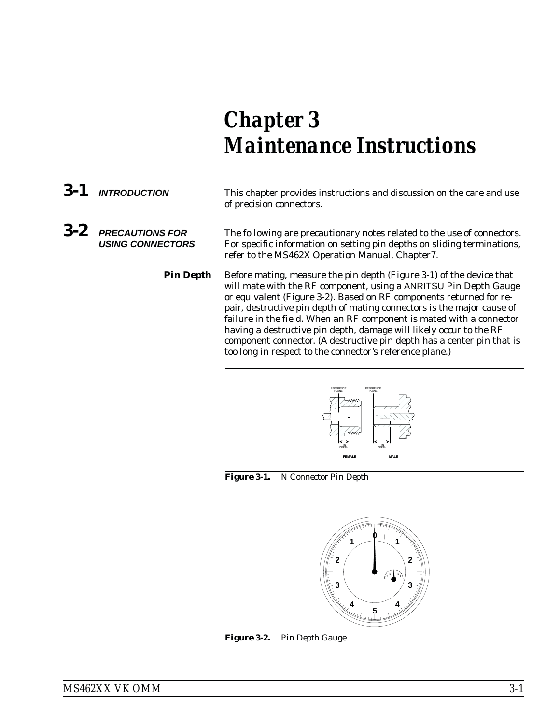# <span id="page-16-0"></span>*Chapter 3 Maintenance Instructions*

*3-1 INTRODUCTION* This chapter provides instructions and discussion on the care and use of precision connectors. *3-2 PRECAUTIONS FOR USING CONNECTORS* The following are precautionary notes related to the use of connectors. For specific information on setting pin depths on sliding terminations, refer to the MS462X Operation Manual, Chapter7. **Pin Depth** Before mating, measure the pin depth (Figure 3-1) of the device that will mate with the RF component, using a ANRITSU Pin Depth Gauge

or equivalent (Figure 3-2). Based on RF components returned for repair, destructive pin depth of mating connectors is the major cause of failure in the field. When an RF component is mated with a connector having a destructive pin depth, damage will likely occur to the RF component connector. (A destructive pin depth has a center pin that is too long in respect to the connector's reference plane.)



*Figure 3-1. N Connector Pin Depth*



*Figure 3-2. Pin Depth Gauge*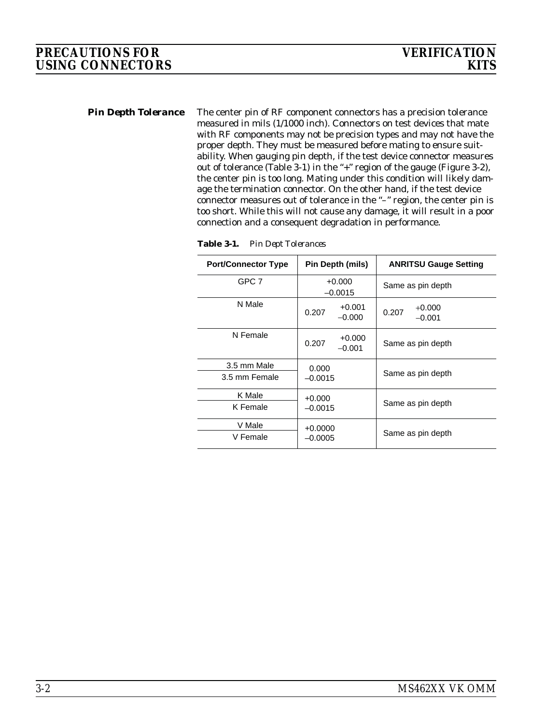<span id="page-17-0"></span>*Pin Depth Tolerance* The center pin of RF component connectors has a precision tolerance measured in mils (1/1000 inch). Connectors on test devices that mate with RF components may not be precision types and may not have the proper depth. They must be measured before mating to ensure suitability. When gauging pin depth, if the test device connector measures out of tolerance (Table 3-1) in the "+" region of the gauge (Figure 3-2), the center pin is too long. Mating under this condition will likely damage the termination connector. On the other hand, if the test device connector measures out of tolerance in the "–" region, the center pin is too short. While this will not cause any damage, it will result in a poor connection and a consequent degradation in performance.

**Table 3-1.** *Pin Dept Tolerances*

| <b>Port/Connector Type</b>   | Pin Depth (mils)              | <b>ANRITSU Gauge Setting</b>  |
|------------------------------|-------------------------------|-------------------------------|
| GPC 7                        | $+0.000$<br>$-0.0015$         | Same as pin depth             |
| N Male                       | $+0.001$<br>0.207<br>$-0.000$ | $+0.000$<br>0.207<br>$-0.001$ |
| N Female                     | $+0.000$<br>0.207<br>$-0.001$ | Same as pin depth             |
| 3.5 mm Male<br>3.5 mm Female | 0.000<br>$-0.0015$            | Same as pin depth             |
| K Male<br>K Female           | $+0.000$<br>$-0.0015$         | Same as pin depth             |
| V Male<br>V Female           | $+0.0000$<br>$-0.0005$        | Same as pin depth             |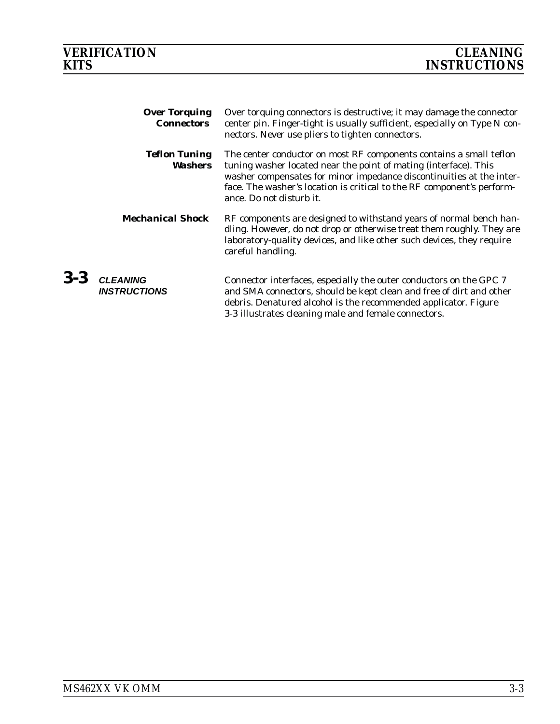*3-3 CLEANING*

<span id="page-18-0"></span>

| <b>Over Torquing</b><br><b>Connectors</b> | Over torquing connectors is destructive; it may damage the connector<br>center pin. Finger-tight is usually sufficient, especially on Type N con-<br>nectors. Never use pliers to tighten connectors.                                                                                                                |
|-------------------------------------------|----------------------------------------------------------------------------------------------------------------------------------------------------------------------------------------------------------------------------------------------------------------------------------------------------------------------|
| <b>Teflon Tuning</b><br>Washers           | The center conductor on most RF components contains a small teflon<br>tuning washer located near the point of mating (interface). This<br>washer compensates for minor impedance discontinuities at the inter-<br>face. The washer's location is critical to the RF component's perform-<br>ance. Do not disturb it. |
| <b>Mechanical Shock</b>                   | RF components are designed to withstand years of normal bench han-<br>dling. However, do not drop or otherwise treat them roughly. They are<br>laboratory-quality devices, and like other such devices, they require<br>careful handling.                                                                            |
| <b>CLEANING</b><br><b>INSTRUCTIONS</b>    | Connector interfaces, especially the outer conductors on the GPC 7<br>and SMA connectors, should be kept clean and free of dirt and other<br>debris. Denatured alcohol is the recommended applicator. Figure<br>3-3 illustrates cleaning male and female connectors.                                                 |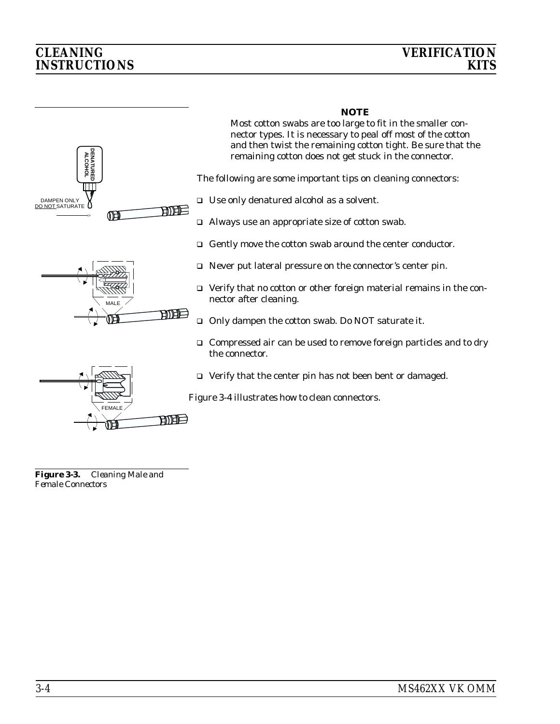# <span id="page-19-0"></span>*CLEANING VERIFICATION INSTRUCTIONS*



# *NOTE*

Most cotton swabs are too large to fit in the smaller connector types. It is necessary to peal off most of the cotton and then twist the remaining cotton tight. Be sure that the remaining cotton does not get stuck in the connector.

The following are some important tips on cleaning connectors:

- Use only denatured alcohol as a solvent.
- Always use an appropriate size of cotton swab.
- Gently move the cotton swab around the center conductor.
- Never put lateral pressure on the connector's center pin.
- Verify that no cotton or other foreign material remains in the connector after cleaning.
- □ Only dampen the cotton swab. Do NOT saturate it.
- □ Compressed air can be used to remove foreign particles and to dry the connector.
- Verify that the center pin has not been bent or damaged.

Figure 3-4 illustrates how to clean connectors.

*Figure 3-3. Cleaning Male and Female Connectors*

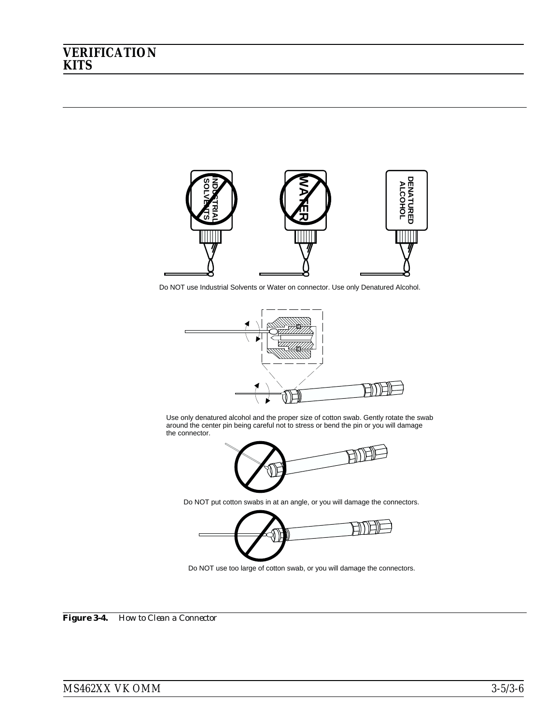

Do NOT use Industrial Solvents or Water on connector. Use only Denatured Alcohol.



Use only denatured alcohol and the proper size of cotton swab. Gently rotate the swab around the center pin being careful not to stress or bend the pin or you will damage the connector.



Do NOT put cotton swabs in at an angle, or you will damage the connectors.



*Figure 3-4. How to Clean a Connector*